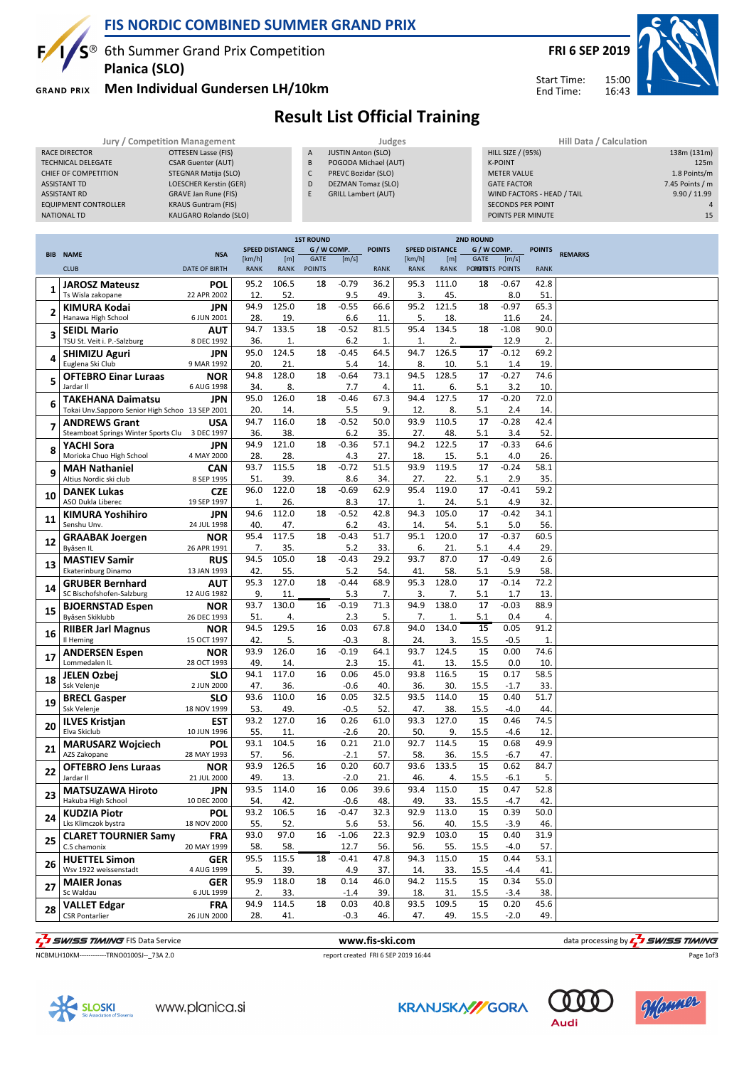

#### **FIS NORDIC COMBINED SUMMER GRAND PRIX**

 $S^{\circledast}$  6th Summer Grand Prix Competition **Planica (SLO)**

**GRAND PRIX** 

### **Men Individual Gundersen LH/10km**

Start Time: End Time:

## **Result List Official Training**

|                             | Jury / Competition Management |   | Judges                     |                | Hill Data / Calculation    |                   |  |  |
|-----------------------------|-------------------------------|---|----------------------------|----------------|----------------------------|-------------------|--|--|
| RACE DIRECTOR               | OTTESEN Lasse (FIS)           | A | <b>JUSTIN Anton (SLO)</b>  |                | <b>HILL SIZE / (95%)</b>   | 138m (131m)       |  |  |
| TECHNICAL DELEGATE          | <b>CSAR Guenter (AUT)</b>     | B | POGODA Michael (AUT)       | <b>K-POINT</b> |                            | 125m              |  |  |
| CHIEF OF COMPETITION        | STEGNAR Matija (SLO)          | ◡ | PREVC Bozidar (SLO)        |                | <b>METER VALUE</b>         | 1.8 Points/m      |  |  |
| <b>ASSISTANT TD</b>         | LOESCHER Kerstin (GER)        | D | DEZMAN Tomaz (SLO)         |                | <b>GATE FACTOR</b>         | $7.45$ Points / m |  |  |
| <b>ASSISTANT RD</b>         | GRAVE Jan Rune (FIS)          |   | <b>GRILL Lambert (AUT)</b> |                | WIND FACTORS - HEAD / TAIL | 9.90 / 11.99      |  |  |
| <b>EQUIPMENT CONTROLLER</b> | <b>KRAUS Guntram (FIS)</b>    |   |                            |                | <b>SECONDS PER POINT</b>   |                   |  |  |
| NATIONAL TD                 | KALIGARO Rolando (SLO)        |   |                            |                | POINTS PER MINUTE          | 15                |  |  |
|                             |                               |   |                            |                |                            |                   |  |  |

|    |                                                 | <b>1ST ROUND</b><br><b>2ND ROUND</b> |              |                       |               |         |               |             |                       |                    |         |               |                |
|----|-------------------------------------------------|--------------------------------------|--------------|-----------------------|---------------|---------|---------------|-------------|-----------------------|--------------------|---------|---------------|----------------|
|    | <b>BIB NAME</b>                                 | <b>NSA</b>                           |              | <b>SPEED DISTANCE</b> | G / W COMP.   |         | <b>POINTS</b> |             | <b>SPEED DISTANCE</b> | G / W COMP.        |         | <b>POINTS</b> | <b>REMARKS</b> |
|    |                                                 |                                      | [km/h]       | [m]                   | GATE          | [m/s]   |               | [km/h]      | [m]                   | GATE               | [m/s]   |               |                |
|    | <b>CLUB</b>                                     | <b>DATE OF BIRTH</b>                 | <b>RANK</b>  | <b>RANK</b>           | <b>POINTS</b> |         | <b>RANK</b>   | <b>RANK</b> | <b>RANK</b>           | POPIDITISTS POINTS |         | <b>RANK</b>   |                |
|    |                                                 |                                      | 95.2         | 106.5                 | 18            | $-0.79$ | 36.2          | 95.3        | 111.0                 | 18                 | $-0.67$ | 42.8          |                |
| 1  | <b>JAROSZ Mateusz</b>                           | <b>POL</b>                           |              |                       |               |         |               |             |                       |                    |         |               |                |
|    | Ts Wisla zakopane                               | 22 APR 2002                          | 12.          | 52.                   |               | 9.5     | 49.           | 3.          | 45.                   |                    | 8.0     | 51.           |                |
| 2  | <b>KIMURA Kodai</b>                             | <b>JPN</b>                           | 94.9         | 125.0                 | 18            | $-0.55$ | 66.6          | 95.2        | 121.5                 | 18                 | $-0.97$ | 65.3          |                |
|    | Hanawa High School                              | 6 JUN 2001                           | 28.          | 19                    |               | 6.6     | 11.           | 5.          | 18.                   |                    | 11.6    | 24.           |                |
|    | <b>SEIDL Mario</b>                              | AUT                                  | 94.7         | 133.5                 | 18            | $-0.52$ | 81.5          | 95.4        | 134.5                 | 18                 | $-1.08$ | 90.0          |                |
| 3  | TSU St. Veit i. P.-Salzburg                     | 8 DEC 1992                           | 36.          | 1.                    |               | 6.2     | 1.            | 1.          | 2.                    |                    | 12.9    | 2.            |                |
|    | <b>SHIMIZU Aguri</b>                            | JPN                                  | 95.0         | 124.5                 | 18            | $-0.45$ | 64.5          | 94.7        | 126.5                 | 17                 | $-0.12$ | 69.2          |                |
| 4  | Euglena Ski Club                                | 9 MAR 1992                           | 20           | 21.                   |               | 5.4     | 14.           | 8.          | 10.                   | 5.1                | 1.4     | 19.           |                |
|    |                                                 |                                      |              |                       |               |         |               |             |                       |                    |         |               |                |
| 5  | <b>OFTEBRO Einar Luraas</b>                     | <b>NOR</b>                           | 94.8         | 128.0                 | 18            | $-0.64$ | 73.1          | 94.5        | 128.5                 | 17                 | $-0.27$ | 74.6          |                |
|    | Jardar II                                       | 6 AUG 1998                           | 34.          | 8.                    |               | 7.7     | 4.            | 11.         | 6.                    | 5.1                | 3.2     | 10.           |                |
| 6  | <b>TAKEHANA Daimatsu</b>                        | JPN                                  | 95.0         | 126.0                 | 18            | $-0.46$ | 67.3          | 94.4        | 127.5                 | 17                 | $-0.20$ | 72.0          |                |
|    | Tokai Unv.Sapporo Senior High Schoo 13 SEP 2001 |                                      | 20.          | 14.                   |               | 5.5     | 9.            | 12.         | 8.                    | 5.1                | 2.4     | 14.           |                |
|    | <b>ANDREWS Grant</b>                            | <b>USA</b>                           | 94.7         | 116.0                 | 18            | $-0.52$ | 50.0          | 93.9        | 110.5                 | 17                 | $-0.28$ | 42.4          |                |
| 7  | Steamboat Springs Winter Sports Clu 3 DEC 1997  |                                      | 36.          | 38.                   |               | 6.2     | 35.           | 27.         | 48.                   | 5.1                | 3.4     | 52.           |                |
|    | YACHI Sora                                      | JPN                                  | 94.9         | 121.0                 | 18            | $-0.36$ | 57.1          | 94.2        | 122.5                 | 17                 | $-0.33$ | 64.6          |                |
| 8  | Morioka Chuo High School                        | 4 MAY 2000                           |              |                       |               |         |               |             |                       |                    |         |               |                |
|    |                                                 |                                      | 28.          | 28.                   |               | 4.3     | 27.           | 18.         | 15.                   | 5.1                | 4.0     | 26.           |                |
| 9  | <b>MAH Nathaniel</b>                            | <b>CAN</b>                           | 93.7         | 115.5                 | 18            | $-0.72$ | 51.5          | 93.9        | 119.5                 | 17                 | $-0.24$ | 58.1          |                |
|    | Altius Nordic ski club                          | 8 SEP 1995                           | 51           | 39.                   |               | 8.6     | 34.           | 27.         | 22.                   | 5.1                | 2.9     | 35.           |                |
|    | <b>DANEK Lukas</b>                              | <b>CZE</b>                           | 96.0         | 122.0                 | 18            | $-0.69$ | 62.9          | 95.4        | 119.0                 | 17                 | $-0.41$ | 59.2          |                |
| 10 | <b>ASO Dukla Liberec</b>                        | 19 SEP 1997                          | $\mathbf{1}$ | 26.                   |               | 8.3     | 17.           | 1.          | 24.                   | 5.1                | 4.9     | 32.           |                |
|    | <b>KIMURA Yoshihiro</b>                         | <b>JPN</b>                           | 94.6         | 112.0                 | 18            | $-0.52$ | 42.8          | 94.3        | 105.0                 | 17                 | $-0.42$ | 34.1          |                |
| 11 | Senshu Unv.                                     | 24 JUL 1998                          | 40.          | 47.                   |               | 6.2     | 43.           | 14.         | 54.                   | 5.1                | 5.0     | 56.           |                |
|    | <b>GRAABAK Joergen</b>                          | <b>NOR</b>                           | 95.4         | 117.5                 | 18            | $-0.43$ | 51.7          | 95.1        | 120.0                 | 17                 | $-0.37$ | 60.5          |                |
| 12 | Byåsen IL                                       | 26 APR 1991                          | 7.           | 35.                   |               | 5.2     | 33.           | 6.          | 21.                   | 5.1                | 4.4     | 29.           |                |
|    |                                                 |                                      | 94.5         | 105.0                 | 18            | $-0.43$ | 29.2          | 93.7        | 87.0                  | 17                 | $-0.49$ | 2.6           |                |
| 13 | <b>MASTIEV Samir</b>                            | <b>RUS</b>                           |              |                       |               |         |               |             |                       |                    |         |               |                |
|    | Ekaterinburg Dinamo                             | 13 JAN 1993                          | 42.          | 55.                   |               | 5.2     | 54.           | 41.         | 58.                   | 5.1                | 5.9     | 58.           |                |
| 14 | <b>GRUBER Bernhard</b>                          | <b>AUT</b>                           | 95.3         | 127.0                 | 18            | $-0.44$ | 68.9          | 95.3        | 128.0                 | 17                 | $-0.14$ | 72.2          |                |
|    | SC Bischofshofen-Salzburg                       | 12 AUG 1982                          | 9.           | 11.                   |               | 5.3     | 7.            | 3.          | 7.                    | 5.1                | 1.7     | 13.           |                |
| 15 | <b>BJOERNSTAD Espen</b>                         | <b>NOR</b>                           | 93.7         | 130.0                 | 16            | $-0.19$ | 71.3          | 94.9        | 138.0                 | 17                 | $-0.03$ | 88.9          |                |
|    | Byåsen Skiklubb                                 | 26 DEC 1993                          | 51           | 4.                    |               | 2.3     | 5.            | 7.          | 1.                    | 5.1                | 0.4     | 4.            |                |
|    | <b>RIIBER Jarl Magnus</b>                       | <b>NOR</b>                           | 94.5         | 129.5                 | 16            | 0.03    | 67.8          | 94.0        | 134.0                 | 15                 | 0.05    | 91.2          |                |
| 16 | Il Heming                                       | 15 OCT 1997                          | 42.          | 5.                    |               | $-0.3$  | 8.            | 24.         | 3.                    | 15.5               | $-0.5$  | 1.            |                |
|    | <b>ANDERSEN Espen</b>                           | NOR                                  | 93.9         | 126.0                 | 16            | $-0.19$ | 64.1          | 93.7        | 124.5                 | 15                 | 0.00    | 74.6          |                |
| 17 | Lommedalen IL                                   | 28 OCT 1993                          | 49.          | 14.                   |               | 2.3     | 15.           | 41.         | 13.                   | 15.5               | 0.0     | 10.           |                |
|    |                                                 |                                      |              | 117.0                 |               |         |               | 93.8        | 116.5                 |                    |         |               |                |
| 18 | JELEN Ozbej                                     | <b>SLO</b>                           | 94.1         |                       | 16            | 0.06    | 45.0          |             |                       | 15                 | 0.17    | 58.5          |                |
|    | Ssk Velenje                                     | 2 JUN 2000                           | 47.          | 36.                   |               | $-0.6$  | 40.           | 36.         | 30.                   | 15.5               | $-1.7$  | 33.           |                |
| 19 | <b>BRECL Gasper</b>                             | <b>SLO</b>                           | 93.6         | 110.0                 | 16            | 0.05    | 32.5          | 93.5        | 114.0                 | 15                 | 0.40    | 51.7          |                |
|    | Ssk Velenje                                     | 18 NOV 1999                          | 53.          | 49.                   |               | $-0.5$  | 52.           | 47.         | 38.                   | 15.5               | $-4.0$  | 44.           |                |
|    | <b>ILVES Kristjan</b>                           | <b>EST</b>                           | 93.2         | 127.0                 | 16            | 0.26    | 61.0          | 93.3        | 127.0                 | 15                 | 0.46    | 74.5          |                |
| 20 | Elva Skiclub                                    | 10 JUN 1996                          | 55           | 11                    |               | $-2.6$  | 20.           | 50.         | 9.                    | 15.5               | -4.6    | 12.           |                |
|    | <b>MARUSARZ Wojciech</b>                        | POL                                  | 93.1         | 104.5                 | 16            | 0.21    | 21.0          | 92.7        | 114.5                 | 15                 | 0.68    | 49.9          |                |
| 21 | AZS Zakopane                                    | 28 MAY 1993                          | 57.          | 56.                   |               | $-2.1$  | 57.           | 58.         | 36.                   | 15.5               | $-6.7$  | 47.           |                |
|    |                                                 |                                      | 93.9         | 126.5                 | 16            | 0.20    | 60.7          | 93.6        | 133.5                 | 15                 | 0.62    | 84.7          |                |
| 22 | <b>OFTEBRO Jens Luraas</b>                      | <b>NOR</b>                           |              |                       |               |         |               |             |                       |                    |         |               |                |
|    | Jardar II                                       | 21 JUL 2000                          | 49           | 13.                   |               | $-2.0$  | 21.           | 46          | 4.                    | 15.5               | -6.1    | 5.            |                |
| 23 | <b>MATSUZAWA Hiroto</b>                         | <b>JPN</b>                           | 93.5         | 114.0                 | 16            | 0.06    | 39.6          | 93.4        | 115.0                 | 15                 | 0.47    | 52.8          |                |
|    | Hakuba High School                              | 10 DEC 2000                          | 54.          | 42.                   |               | $-0.6$  | 48.           | 49.         | 33.                   | 15.5               | $-4.7$  | 42.           |                |
| 24 | <b>KUDZIA Piotr</b>                             | <b>POL</b>                           | 93.2         | 106.5                 | 16            | $-0.47$ | 32.3          | 92.9        | 113.0                 | 15                 | 0.39    | 50.0          |                |
|    | Lks Klimczok bystra                             | 18 NOV 2000                          | 55.          | 52.                   |               | 5.6     | 53.           | 56.         | 40.                   | 15.5               | $-3.9$  | 46.           |                |
|    | <b>CLARET TOURNIER Samy</b>                     | <b>FRA</b>                           | 93.0         | 97.0                  | 16            | $-1.06$ | 22.3          | 92.9        | 103.0                 | 15                 | 0.40    | 31.9          |                |
| 25 | C.S chamonix                                    | 20 MAY 1999                          | 58.          | 58.                   |               | 12.7    | 56.           | 56.         | 55.                   | 15.5               | $-4.0$  | 57.           |                |
|    | <b>HUETTEL Simon</b>                            | <b>GER</b>                           | 95.5         | 115.5                 | 18            | $-0.41$ | 47.8          | 94.3        | 115.0                 | 15                 | 0.44    | 53.1          |                |
| 26 | Wsv 1922 weissenstadt                           | 4 AUG 1999                           | 5.           | 39.                   |               | 4.9     | 37.           | 14.         | 33.                   | 15.5               | $-4.4$  | 41.           |                |
|    |                                                 |                                      |              |                       |               |         |               |             |                       |                    |         |               |                |
| 27 | <b>MAIER Jonas</b>                              | <b>GER</b>                           | 95.9         | 118.0                 | 18            | 0.14    | 46.0          | 94.2        | 115.5                 | 15                 | 0.34    | 55.0          |                |
|    | Sc Waldau                                       | 6 JUL 1999                           | 2.           | 33.                   |               | $-1.4$  | 39.           | 18.         | 31.                   | 15.5               | $-3.4$  | 38.           |                |
| 28 | <b>VALLET Edgar</b>                             | <b>FRA</b>                           | 94.9         | 114.5                 | 18            | 0.03    | 40.8          | 93.5        | 109.5                 | 15                 | 0.20    | 45.6          |                |
|    | <b>CSR Pontarlier</b>                           | 26 JUN 2000                          | 28.          | 41.                   |               | $-0.3$  | 46.           | 47.         | 49.                   | 15.5               | $-2.0$  | 49.           |                |
|    |                                                 |                                      |              |                       |               |         |               |             |                       |                    |         |               |                |

THE SUNSES TIMING FIS Data Service **WWW.fis-Ski.com** WWW.fis-Ski.com data processing by T<sub>2</sub>THE SUNSES TIMING  $\tilde{\boldsymbol{\zeta}}$ 

NCBMLH10KM------------TRNO0100SJ--\_73A 2.0 report created FRI 6 SEP 2019 16:44

Page 1of3



**KRANJSKA//GORA** 



**Audi**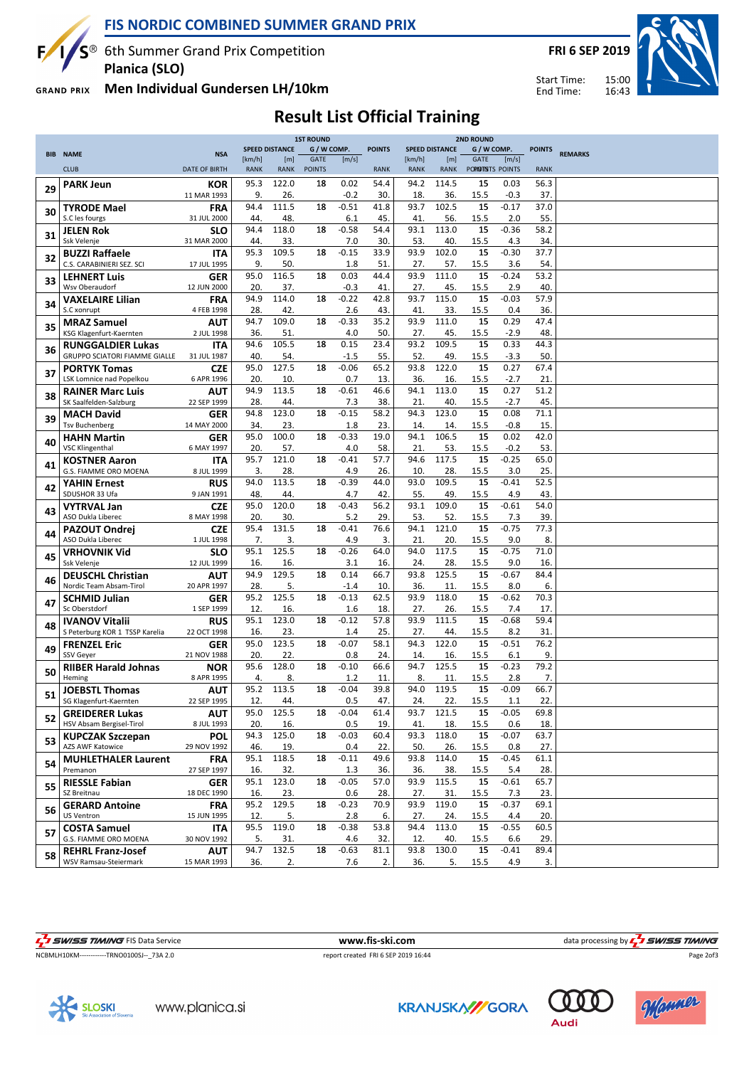

 $S^{\circledast}$  6th Summer Grand Prix Competition Planica (SLO)

**FRI 6 SEP 2019** 

 $15:00$ 

16:43

Start Time: End Time:



Men Individual Gundersen LH/10km **GRAND PRIX** 

 $\mathbf{F}$ 

# **Result List Official Training**

|    |                                                         |                           | <b>1ST ROUND</b> |                       |               |                | <b>2ND ROUND</b> |             |                       |                    |                |               |                |
|----|---------------------------------------------------------|---------------------------|------------------|-----------------------|---------------|----------------|------------------|-------------|-----------------------|--------------------|----------------|---------------|----------------|
|    | <b>BIB NAME</b>                                         | <b>NSA</b>                |                  | <b>SPEED DISTANCE</b> | G / W COMP.   |                | <b>POINTS</b>    |             | <b>SPEED DISTANCE</b> | G / W COMP.        |                | <b>POINTS</b> | <b>REMARKS</b> |
|    |                                                         |                           | [km/h]           | [m]                   | GATE          | [m/s]          |                  | [km/h]      | [ <sub>m</sub> ]      | GATE               | [m/s]          |               |                |
|    | <b>CLUB</b>                                             | <b>DATE OF BIRTH</b>      | <b>RANK</b>      | <b>RANK</b>           | <b>POINTS</b> |                | <b>RANK</b>      | <b>RANK</b> | <b>RANK</b>           | POPIDITISTS POINTS |                | <b>RANK</b>   |                |
| 29 | <b>PARK Jeun</b>                                        | KOR                       | 95.3             | 122.0                 | 18            | 0.02           | 54.4             | 94.2        | 114.5                 | 15                 | 0.03           | 56.3          |                |
|    |                                                         | 11 MAR 1993               | 9.               | 26.                   |               | $-0.2$         | 30.              | 18.         | 36.                   | 15.5               | $-0.3$         | 37.           |                |
| 30 | <b>TYRODE Mael</b>                                      | <b>FRA</b>                | 94.4             | 111.5                 | 18            | $-0.51$        | 41.8             | 93.7        | 102.5                 | 15                 | $-0.17$        | 37.0          |                |
|    | S.C les fourgs                                          | 31 JUL 2000               | 44.              | 48.                   |               | 6.1            | 45.              | 41.         | 56.                   | 15.5               | 2.0            | 55.           |                |
| 31 | <b>JELEN Rok</b>                                        | <b>SLO</b>                | 94.4             | 118.0                 | 18            | $-0.58$        | 54.4             | 93.1        | 113.0                 | 15                 | $-0.36$        | 58.2          |                |
|    | Ssk Velenje                                             | 31 MAR 2000               | 44.              | 33.                   |               | 7.0            | 30.              | 53.         | 40.                   | 15.5               | 4.3            | 34.           |                |
| 32 | <b>BUZZI Raffaele</b>                                   | <b>ITA</b>                | 95.3<br>9.       | 109.5                 | 18            | $-0.15$        | 33.9             | 93.9        | 102.0                 | 15                 | $-0.30$        | 37.7          |                |
|    | C.S. CARABINIERI SEZ. SCI                               | 17 JUL 1995               | 95.0             | 50.<br>116.5          | 18            | 1.8<br>0.03    | 51.<br>44.4      | 27.<br>93.9 | 57.<br>111.0          | 15.5<br>15         | 3.6<br>$-0.24$ | 54.<br>53.2   |                |
| 33 | <b>LEHNERT Luis</b><br>Wsv Oberaudorf                   | GER<br>12 JUN 2000        | 20.              | 37.                   |               | $-0.3$         | 41.              | 27.         | 45.                   | 15.5               | 2.9            | 40.           |                |
|    | <b>VAXELAIRE Lilian</b>                                 | <b>FRA</b>                | 94.9             | 114.0                 | 18            | $-0.22$        | 42.8             | 93.7        | 115.0                 | 15                 | $-0.03$        | 57.9          |                |
| 34 | S.C xonrupt                                             | 4 FEB 1998                | 28.              | 42.                   |               | 2.6            | 43.              | 41          | 33.                   | 15.5               | 0.4            | 36.           |                |
|    | <b>MRAZ Samuel</b>                                      | <b>AUT</b>                | 94.7             | 109.0                 | 18            | $-0.33$        | 35.2             | 93.9        | 111.0                 | 15                 | 0.29           | 47.4          |                |
| 35 | KSG Klagenfurt-Kaernten                                 | 2 JUL 1998                | 36.              | 51.                   |               | 4.0            | 50.              | 27.         | 45.                   | 15.5               | $-2.9$         | 48.           |                |
|    | <b>RUNGGALDIER Lukas</b>                                | <b>ITA</b>                | 94.6             | 105.5                 | 18            | 0.15           | 23.4             | 93.2        | 109.5                 | 15                 | 0.33           | 44.3          |                |
| 36 | <b>GRUPPO SCIATORI FIAMME GIALLE</b>                    | 31 JUL 1987               | 40.              | 54.                   |               | $-1.5$         | 55.              | 52.         | 49.                   | 15.5               | $-3.3$         | 50.           |                |
| 37 | <b>PORTYK Tomas</b>                                     | <b>CZE</b>                | 95.0             | 127.5                 | 18            | $-0.06$        | 65.2             | 93.8        | 122.0                 | 15                 | 0.27           | 67.4          |                |
|    | LSK Lomnice nad Popelkou                                | 6 APR 1996                | 20.              | 10.                   |               | 0.7            | 13.              | 36.         | 16.                   | 15.5               | $-2.7$         | 21.           |                |
| 38 | <b>RAINER Marc Luis</b>                                 | <b>AUT</b>                | 94.9             | 113.5                 | 18            | $-0.61$        | 46.6             | 94.1        | 113.0                 | 15                 | 0.27           | 51.2          |                |
|    | SK Saalfelden-Salzburg                                  | 22 SEP 1999               | 28.              | 44.                   |               | 7.3            | 38.              | 21          | 40.                   | 15.5               | $-2.7$         | 45.           |                |
| 39 | <b>MACH David</b>                                       | <b>GER</b>                | 94.8             | 123.0                 | 18            | $-0.15$        | 58.2             | 94.3        | 123.0                 | 15                 | 0.08           | 71.1          |                |
|    | <b>Tsv Buchenberg</b>                                   | 14 MAY 2000               | 34.              | 23.                   |               | 1.8            | 23.              | 14.         | 14.                   | 15.5               | $-0.8$         | 15.           |                |
| 40 | <b>HAHN Martin</b>                                      | <b>GER</b>                | 95.0             | 100.0                 | 18            | $-0.33$        | 19.0             | 94.1        | 106.5                 | 15                 | 0.02           | 42.0          |                |
|    | <b>VSC Klingenthal</b>                                  | 6 MAY 1997                | 20.              | 57.                   |               | 4.0            | 58.              | 21          | 53.                   | 15.5               | $-0.2$         | 53.           |                |
| 41 | <b>KOSTNER Aaron</b><br>G.S. FIAMME ORO MOENA           | <b>ITA</b><br>8 JUL 1999  | 95.7<br>3.       | 121.0<br>28.          | 18            | $-0.41$<br>4.9 | 57.7<br>26.      | 94.6        | 117.5<br>28.          | 15<br>15.5         | $-0.25$<br>3.0 | 65.0<br>25.   |                |
|    |                                                         | <b>RUS</b>                | 94.0             | 113.5                 | 18            | $-0.39$        | 44.0             | 10.<br>93.0 | 109.5                 | 15                 | $-0.41$        | 52.5          |                |
| 42 | <b>YAHIN Ernest</b><br>SDUSHOR 33 Ufa                   | 9 JAN 1991                | 48.              | 44.                   |               | 4.7            | 42.              | 55.         | 49.                   | 15.5               | 4.9            | 43.           |                |
|    | <b>VYTRVAL Jan</b>                                      | <b>CZE</b>                | 95.0             | 120.0                 | 18            | $-0.43$        | 56.2             | 93.1        | 109.0                 | 15                 | $-0.61$        | 54.0          |                |
| 43 | ASO Dukla Liberec                                       | 8 MAY 1998                | 20.              | 30.                   |               | 5.2            | 29.              | 53.         | 52.                   | 15.5               | 7.3            | 39.           |                |
|    | <b>PAZOUT Ondrej</b>                                    | <b>CZE</b>                | 95.4             | 131.5                 | 18            | $-0.41$        | 76.6             | 94.1        | 121.0                 | 15                 | $-0.75$        | 77.3          |                |
| 44 | ASO Dukla Liberec                                       | 1 JUL 1998                | 7.               | 3.                    |               | 4.9            | 3.               | 21.         | 20.                   | 15.5               | 9.0            | 8.            |                |
| 45 | <b>VRHOVNIK Vid</b>                                     | <b>SLO</b>                | 95.1             | 125.5                 | 18            | $-0.26$        | 64.0             | 94.0        | 117.5                 | 15                 | $-0.75$        | 71.0          |                |
|    | Ssk Velenje                                             | 12 JUL 1999               | 16.              | 16.                   |               | 3.1            | 16.              | 24.         | 28.                   | 15.5               | 9.0            | 16.           |                |
| 46 | <b>DEUSCHL Christian</b>                                | <b>AUT</b>                | 94.9             | 129.5                 | 18            | 0.14           | 66.7             | 93.8        | 125.5                 | 15                 | $-0.67$        | 84.4          |                |
|    | Nordic Team Absam-Tirol                                 | 20 APR 1997               | 28.              | 5.                    |               | $-1.4$         | 10.              | 36.         | 11.                   | 15.5               | 8.0            | 6.            |                |
| 47 | <b>SCHMID Julian</b>                                    | <b>GER</b>                | 95.2             | 125.5                 | 18            | $-0.13$        | 62.5             | 93.9        | 118.0                 | 15                 | $-0.62$        | 70.3          |                |
|    | Sc Oberstdorf                                           | 1 SEP 1999                | 12.<br>95.1      | 16.<br>123.0          |               | 1.6<br>$-0.12$ | 18.<br>57.8      | 27.<br>93.9 | 26.<br>111.5          | 15.5<br>15         | 7.4<br>$-0.68$ | 17.<br>59.4   |                |
| 48 | <b>IVANOV Vitalii</b><br>S Peterburg KOR 1 TSSP Karelia | <b>RUS</b><br>22 OCT 1998 | 16.              | 23.                   | 18            | 1.4            | 25.              | 27.         | 44.                   | 15.5               | 8.2            | 31.           |                |
|    | <b>FRENZEL Eric</b>                                     | <b>GER</b>                | 95.0             | 123.5                 | 18            | $-0.07$        | 58.1             | 94.3        | 122.0                 | 15                 | $-0.51$        | 76.2          |                |
| 49 | SSV Gever                                               | 21 NOV 1988               | 20.              | 22.                   |               | 0.8            | 24.              | 14.         | 16.                   | 15.5               | 6.1            | 9.            |                |
|    | <b>RIIBER Harald Johnas</b>                             | <b>NOR</b>                | 95.6             | 128.0                 | 18            | $-0.10$        | 66.6             | 94.7        | 125.5                 | 15                 | $-0.23$        | 79.2          |                |
| 50 | Heming                                                  | 8 APR 1995                | 4.               | 8.                    |               | 1.2            | 11.              | 8.          | 11.                   | 15.5               | 2.8            | 7.            |                |
| 51 | <b>JOEBSTL Thomas</b>                                   | <b>AUT</b>                | 95.2             | 113.5                 | 18            | $-0.04$        | 39.8             | 94.0        | 119.5                 | 15                 | $-0.09$        | 66.7          |                |
|    | SG Klagenfurt-Kaernten                                  | 22 SEP 1995               | 12.              | 44                    |               | 0.5            | 47.              | 24.         | 22.                   | 15.5               | 1.1            | 22.           |                |
| 52 | <b>GREIDERER Lukas</b>                                  | AUT                       | 95.0             | 125.5                 | 18            | $-0.04$        | 61.4             | 93.7        | 121.5                 | 15                 | $-0.05$        | 69.8          |                |
|    | HSV Absam Bergisel-Tirol                                | 8 JUL 1993                | 20.              | 16.                   |               | 0.5            | 19.              | 41.         | 18.                   | 15.5               | 0.6            | 18.           |                |
| 53 | <b>KUPCZAK Szczepan</b>                                 | <b>POL</b>                | 94.3             | 125.0                 | 18            | $-0.03$        | 60.4             | 93.3        | 118.0                 | 15                 | $-0.07$        | 63.7          |                |
|    | AZS AWF Katowice                                        | 29 NOV 1992               | 46.              | 19.                   |               | 0.4            | 22.              | 50.         | 26.                   | 15.5               | 0.8            | 27.           |                |
| 54 | <b>MUHLETHALER Laurent</b><br>Premanon                  | <b>FRA</b>                | 95.1             | 118.5                 | 18            | $-0.11$        | 49.6             | 93.8<br>36. | 114.0                 | 15                 | $-0.45$        | 61.1<br>28.   |                |
|    |                                                         | 27 SEP 1997               | 16.<br>95.1      | 32.<br>123.0          | 18            | 1.3<br>$-0.05$ | 36.<br>57.0      | 93.9        | 38.<br>115.5          | 15.5<br>15         | 5.4<br>$-0.61$ | 65.7          |                |
| 55 | <b>RIESSLE Fabian</b><br>SZ Breitnau                    | GER<br>18 DEC 1990        | 16.              | 23.                   |               | 0.6            | 28.              | 27.         | 31.                   | 15.5               | 7.3            | 23.           |                |
|    | <b>GERARD Antoine</b>                                   | <b>FRA</b>                | 95.2             | 129.5                 | 18            | $-0.23$        | 70.9             | 93.9        | 119.0                 | 15                 | $-0.37$        | 69.1          |                |
| 56 | US Ventron                                              | 15 JUN 1995               | 12.              | 5.                    |               | 2.8            | 6.               | 27.         | 24.                   | 15.5               | 4.4            | 20.           |                |
|    | <b>COSTA Samuel</b>                                     | <b>ITA</b>                | 95.5             | 119.0                 | 18            | $-0.38$        | 53.8             | 94.4        | 113.0                 | 15                 | $-0.55$        | 60.5          |                |
| 57 | G.S. FIAMME ORO MOENA                                   | 30 NOV 1992               | 5.               | 31.                   |               | 4.6            | 32.              | 12.         | 40.                   | 15.5               | 6.6            | 29.           |                |
| 58 | <b>REHRL Franz-Josef</b>                                | <b>AUT</b>                | 94.7             | 132.5                 | 18            | $-0.63$        | 81.1             | 93.8        | 130.0                 | 15                 | $-0.41$        | 89.4          |                |
|    | WSV Ramsau-Steiermark                                   | 15 MAR 1993               | 36.              | 2.                    |               | 7.6            | 2.               | 36.         | 5.                    | 15.5               | 4.9            | 3.            |                |

I SWISS TIMING FIS Data Service NCBMLH10KM------------TRNO0100SJ--\_73A 2.0

www.fis-ski.com report created FRI 6 SEP 2019 16:44 data processing by **4 5 SWISS TIMING** 

Audi







Page 2of3